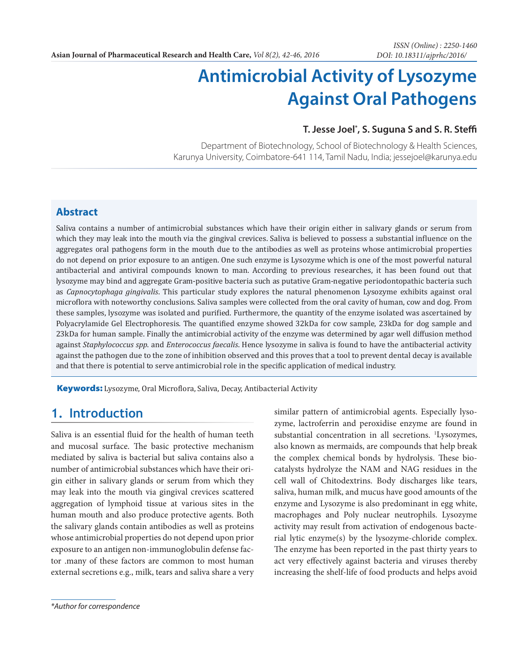# **Antimicrobial Activity of Lysozyme Against Oral Pathogens**

#### **T. Jesse Joel\* , S. Suguna S and S. R. Steffi**

Department of Biotechnology, School of Biotechnology & Health Sciences, Karunya University, Coimbatore-641 114, Tamil Nadu, India; jessejoel@karunya.edu

#### **Abstract**

Saliva contains a number of antimicrobial substances which have their origin either in salivary glands or serum from which they may leak into the mouth via the gingival crevices. Saliva is believed to possess a substantial influence on the aggregates oral pathogens form in the mouth due to the antibodies as well as proteins whose antimicrobial properties do not depend on prior exposure to an antigen. One such enzyme is Lysozyme which is one of the most powerful natural antibacterial and antiviral compounds known to man. According to previous researches, it has been found out that lysozyme may bind and aggregate Gram-positive bacteria such as putative Gram-negative periodontopathic bacteria such as *Capnocytophaga gingivalis*. This particular study explores the natural phenomenon Lysozyme exhibits against oral microflora with noteworthy conclusions. Saliva samples were collected from the oral cavity of human, cow and dog. From these samples, lysozyme was isolated and purified. Furthermore, the quantity of the enzyme isolated was ascertained by Polyacrylamide Gel Electrophoresis. The quantified enzyme showed 32kDa for cow sample, 23kDa for dog sample and 23kDa for human sample. Finally the antimicrobial activity of the enzyme was determined by agar well diffusion method against *Staphylococcus spp*. and *Enterococcus faecalis*. Hence lysozyme in saliva is found to have the antibacterial activity against the pathogen due to the zone of inhibition observed and this proves that a tool to prevent dental decay is available and that there is potential to serve antimicrobial role in the specific application of medical industry.

**Keywords:** Lysozyme, Oral Microflora, Saliva, Decay, Antibacterial Activity

# **1. Introduction**

Saliva is an essential fluid for the health of human teeth and mucosal surface. The basic protective mechanism mediated by saliva is bacterial but saliva contains also a number of antimicrobial substances which have their origin either in salivary glands or serum from which they may leak into the mouth via gingival crevices scattered aggregation of lymphoid tissue at various sites in the human mouth and also produce protective agents. Both the salivary glands contain antibodies as well as proteins whose antimicrobial properties do not depend upon prior exposure to an antigen non-immunoglobulin defense factor .many of these factors are common to most human external secretions e.g., milk, tears and saliva share a very zyme, lactroferrin and peroxidise enzyme are found in substantial concentration in all secretions. <sup>1</sup>Lysozymes, also known as mermaids, are compounds that help break the complex chemical bonds by hydrolysis. These biocatalysts hydrolyze the NAM and NAG residues in the cell wall of Chitodextrins. Body discharges like tears, saliva, human milk, and mucus have good amounts of the enzyme and Lysozyme is also predominant in egg white, macrophages and Poly nuclear neutrophils. Lysozyme activity may result from activation of endogenous bacterial lytic enzyme(s) by the lysozyme-chloride complex. The enzyme has been reported in the past thirty years to act very effectively against bacteria and viruses thereby increasing the shelf-life of food products and helps avoid

similar pattern of antimicrobial agents. Especially lyso-

*<sup>\*</sup>Author for correspondence*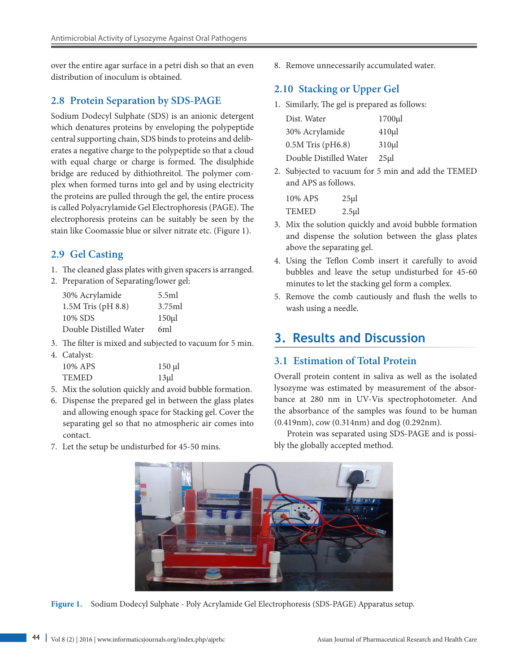over the entire agar surface in a petri dish so that an even distribution of inoculum is obtained.

#### **2.8 Protein Separation by SDS-PAGE**

Sodium Dodecyl Sulphate (SDS) is an anionic detergent which denatures proteins by enveloping the polypeptide central supporting chain, SDS binds to proteins and deliberates a negative charge to the polypeptide so that a cloud with equal charge or charge is formed. The disulphide bridge are reduced by dithiothreitol. The polymer complex when formed turns into gel and by using electricity the proteins are pulled through the gel, the entire process is called Polyacrylamide Gel Electrophoresis (PAGE). The electrophoresis proteins can be suitably be seen by the stain like Coomassie blue or silver nitrate etc. (Figure 1).

### **2.9 Gel Casting**

- 1. The cleaned glass plates with given spacers is arranged.
- 2. Preparation of Separating/lower gel:

| 30% Acrylamide         | 5.5ml     |
|------------------------|-----------|
| 1.5M Tris (pH 8.8)     | 3.75ml    |
| 10% SDS                | $150 \mu$ |
| Double Distilled Water | 6ml       |

3. The filter is mixed and subjected to vacuum for 5 min.

| 4. Catalyst: |           |
|--------------|-----------|
| 10% APS      | $150 \mu$ |
| <b>TEMED</b> | $13\mu$   |

- 5. Mix the solution quickly and avoid bubble formation.
- 6. Dispense the prepared gel in between the glass plates and allowing enough space for Stacking gel. Cover the separating gel so that no atmospheric air comes into contact.
- 7. Let the setup be undisturbed for 45-50 mins.

8. Remove unnecessarily accumulated water.

## **2.10 Stacking or Upper Gel**

1. Similarly, The gel is prepared as follows:

| Dist. Water            | $1700 \mu l$ |
|------------------------|--------------|
| 30% Acrylamide         | $410 \mu$    |
| $0.5M$ Tris (pH6.8)    | $310 \mu l$  |
| Double Distilled Water | $25 \mu$     |

2. Subjected to vacuum for 5 min and add the TEMED and APS as follows.

| 10% APS      | $25 \mu$  |
|--------------|-----------|
| <b>TEMED</b> | $2.5 \mu$ |

- 3. Mix the solution quickly and avoid bubble formation and dispense the solution between the glass plates above the separating gel.
- 4. Using the Teflon Comb insert it carefully to avoid bubbles and leave the setup undisturbed for 45-60 minutes to let the stacking gel form a complex.
- 5. Remove the comb cautiously and flush the wells to wash using a needle.

# **3. Results and Discussion**

### **3.1 Estimation of Total Protein**

Overall protein content in saliva as well as the isolated lysozyme was estimated by measurement of the absorbance at 280 nm in UV-Vis spectrophotometer. And the absorbance of the samples was found to be human (0.419nm), cow (0.314nm) and dog (0.292nm).

Protein was separated using SDS-PAGE and is possibly the globally accepted method.



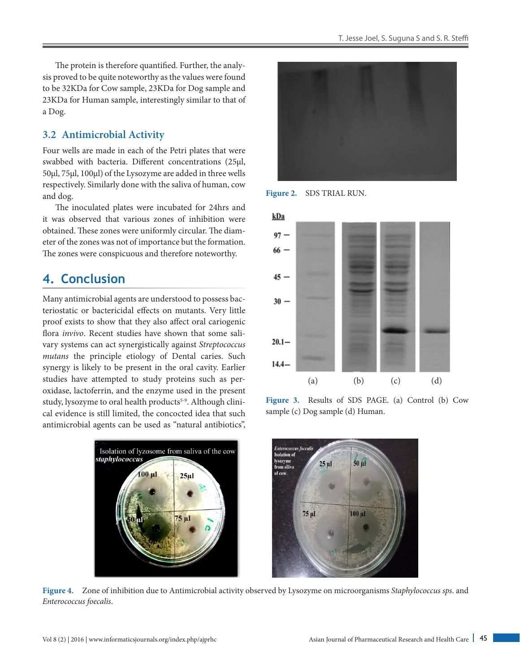The protein is therefore quantified. Further, the analysis proved to be quite noteworthy as the values were found to be 32KDa for Cow sample, 23KDa for Dog sample and 23KDa for Human sample, interestingly similar to that of a Dog.

#### **3.2 Antimicrobial Activity**

Four wells are made in each of the Petri plates that were swabbed with bacteria. Different concentrations (25µl, 50µl, 75µl, 100µl) of the Lysozyme are added in three wells respectively. Similarly done with the saliva of human, cow and dog.

The inoculated plates were incubated for 24hrs and it was observed that various zones of inhibition were obtained. These zones were uniformly circular. The diameter of the zones was not of importance but the formation. The zones were conspicuous and therefore noteworthy.

# **4. Conclusion**

Many antimicrobial agents are understood to possess bacteriostatic or bactericidal effects on mutants. Very little proof exists to show that they also affect oral cariogenic flora *invivo*. Recent studies have shown that some salivary systems can act synergistically against *Streptococcus mutans* the principle etiology of Dental caries. Such synergy is likely to be present in the oral cavity. Earlier studies have attempted to study proteins such as peroxidase, lactoferrin, and the enzyme used in the present study, lysozyme to oral health products<sup>5-9</sup>. Although clinical evidence is still limited, the concocted idea that such antimicrobial agents can be used as "natural antibiotics",





**Figure 2.** SDS TRIAL RUN.



**Figure 3.** Results of SDS PAGE. (a) Control (b) Cow sample (c) Dog sample (d) Human.



**Figure 4.** Zone of inhibition due to Antimicrobial activity observed by Lysozyme on microorganisms *Staphylococcus sps*. and *Enterococcus foecalis*.